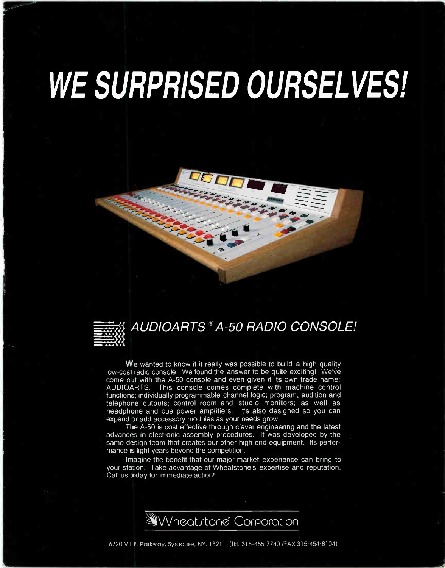# WE SURPRISED OURSELVES!





## AUDIOARTS ® A-50 RADIO CONSOLE!

We wanted to know if it really was possible to build a high quality low-cost radio console. We found the answer to be quite exciting! We've come out with the A-50 console and even given it its own trade name: AUDIOARTS. This console comes complete with machine control functions; individually programmable channel logic; program, audition and telephone outputs; control room and studio monitors; as well as headphone and cue power amplifiers. It's also des gned so you can expand Dr add accessory modules as your needs grow.

The A-50 is cost effective through clever engineering and the latest advances in electronic assembly procedures. It was developed by the same design team that creates our other high end equipment. Its performance is light years beyond the competition.

Imagine the benefit that our major market experience can bring to your station. Take advantage of Wheatstone's expertise and reputation. Call us today for immediate action!

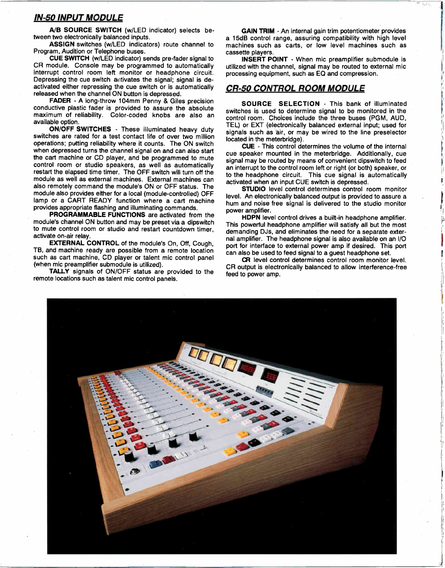#### IN-50 INPUT MODULE

A/B SOURCE SWITCH (w/LED indicator) selects between two electronically balanced inputs.

ASSIGN switches (w/LED indicators) route channel to Program, Audition or Telephone buses.

CUE SWITCH (w/LED indicator) sends pre-fader signal to CR module. Console may be programmed to automatically interrupt control room left monitor or headphone circuit. Depressing the cue switch activates the signal; signal is deactivated either repressing the cue switch or is automatically released when the channel ON button is depressed.

FADER - A long-throw 104mm Penny & Giles precision conductive plastic fader is provided to assure the absolute maximum of reliability. Color-coded knobs are also an available option.

ON/OFF SWITCHES - These illuminated heavy duty switches are rated for a test contact life of over two million operations; putting reliability where it counts. The ON switch when depressed turns the channel signal on and can also start the cart machine or CD player, and be programmed to mute control room or studio speakers, as well as automatically restart the elapsed time timer. The OFF switch will turn off the module as well as external machines. External machines can also remotely command the module's ON or OFF status. The module also provides either for a local (module-controlled) OFF lamp or a CART READY function where a cart machine provides appropriate flashing and illuminating commands.

PROGRAMMABLE FUNCTIONS are activated from the module's channel ON button and may be preset via a dipswitch to mute control room or studio and restart countdown timer, activate on-air relay.

EXTERNAL CONTROL of the module's On, Off, Cough, TB, and machine ready are possible from a remote location such as cart machine, CD player or talent mic control panel (when mic preamplifier submodule is utilized).

TALLY signals of ON/OFF status are provided to the remote locations such as talent mic control panels.

GAIN TRIM - An internal gain trim potentiometer provides a 15dB control range, assuring compatibility with high level machines such as carts, or low level machines such as cassette players.

INSERT POINT - When mic preamplifier submodule is utilized with the channel, signal may be routed to external mic processing equipment, such as EQ and compression.

#### CR-50 CONTROL ROOM MODULE

SOURCE SELECTION - This bank of illuminated switches is used to determine signal to be monitored in the control room. Choices include the three buses (PGM, AUD, TEL) or EXT (electronically balanced external input; used for signals such as air, or may be wired to the line preselector located in the meterbridge).

CUE - This control determines the volume of the internal cue speaker mounted in the meterbridge. Additionally, cue signal may be routed by means of convenient dipswitch to feed an interrupt to the control room left or right (or both) speaker, or to the headphone circuit. This cue signal is automatically activated when an input CUE switch is depressed.

STUDIO level control determines control room monitor level. An electronically balanced output is provided to assure a hum and noise free signal is delivered to the studio monitor power amplifier.

HDPN level control drives a built-in headphone amplifier. This powerful headphone amplifier will satisfy all but the most demanding DJs, and eliminates the need for a separate external amplifier. The headphone signal is also available on an I/O port for interface to external power amp if desired. This port can also be used to feed signal to a guest headphone set.

CR level control determines control room monitor level. CR output is electronically balanced to allow interference-free feed to power amp.

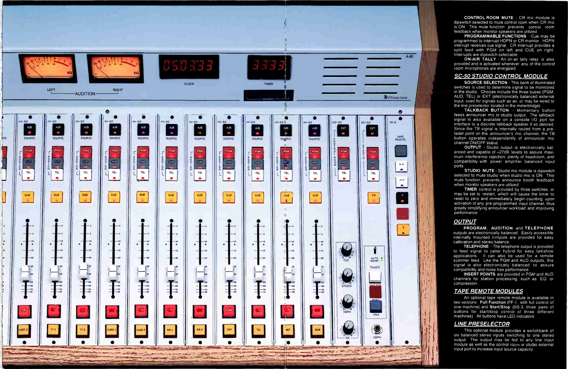

CONTROL ROOM MUTE - CR mic module is dipswitch selected to mute control room when CR mic is ON. This mute function prevents control room feedback when monitor speakers are utilized.

PROGRAMMABLE FUNCTIONS - Cue may be programmed to interrupt HDPN or CR monitor. HDPN interrupt receives cue signal. CR interrupt provides a split feed with PGM on left and CUE on right. Interrupts are dipswitch selectable.

ON-AIR TALLY - An on-air tally relay is also provided and is activated whenever any of the control room microphones are energized.

#### **SC-50 STUDIO CONTROL MODULE**

SOURCE SELECTION - This bank of illuminated switches is used to determine signal to be monitored in the studio. Choices include the three buses (PGM, AUD, TEL) or EXT (electronically balanced external input; used for signals such as air, or may be wired to the line preselector located in the meterbridge)

TALKBACK BUTTON - Momentary button feeds announcer mic to studio output. The talkback signal is also available on a console I/O port for interface to a discrete talkback speaker if so desired. Since the TB signal is internally routed from a prefader point on the announcer's mic channel, the TB button operates independently of announcer mic channel ON/OFF status.

OUTPUT - Studio output is electronically balanced and capable of +27dB levels to assure maximum interference rejection, plenty of headroom, and compatibility with power amplifier balanced input ports.

STUDIO MUTE - Studio mic module is dipswitch selected to mute studio when studio mic is ON. This mute function prevents announce booth feedback when monitor speakers are utilized

TIMER control is provided by three switches, or may be set to restart, which will cause the timer to reset to zero and immediately begin counting upon activation of any pre-programmed input channel, thus greatly simplifying announcer workload and improving performance.

#### **OUTPUT**

PROGRAM, AUDITION, and TELEPHONE outputs are electronically balanced. Easily accessible internally mounted trimpots are provided for easy calibration and stereo balance.

TELEPHONE - The telephone output is provided<br>to feed signal to caller hybrid for easy talkshow applications. It can also be used for a remote scimmer feed. Like the PGM and AUD outputs, this signal is also electronically balanced to assure compatibility and noise free performance.

**INSERT POINTS** are provided in PGM and AUD channels for station processing, such as EQ or compression.

#### **TAPE REMOTE MODULES**

An optional tape remote module is available in two versions: Full Function (FF-1, with full control of one machine) and Start/Stop (SS-3, three pairs of buttons for start/stop control of three different machines). All buttons have LED indicators.

#### **LINE PRESELECTOR**

This optional module provides a switchbank of six balanced stereo inputs switching to one stereo output. The output may be fed to any line input module as well as the control room or studio external input port to increase input source capacity